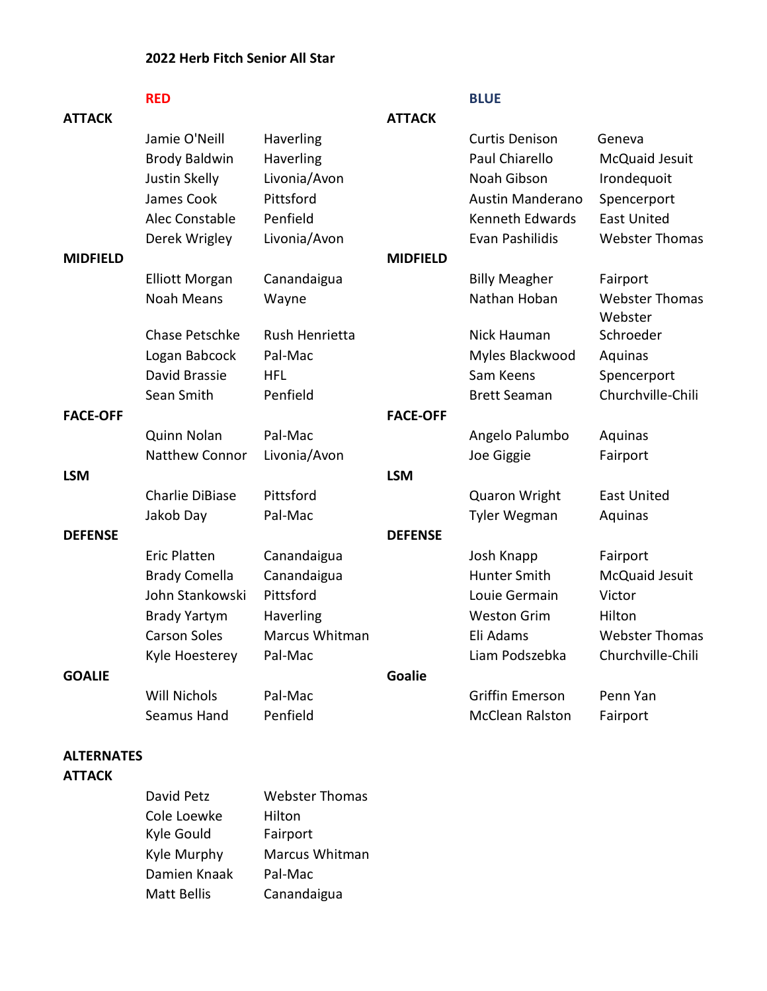### **2022 Herb Fitch Senior All Star**

|                 | <b>RED</b>             |                |                 | <b>BLUE</b>             |                                  |
|-----------------|------------------------|----------------|-----------------|-------------------------|----------------------------------|
| <b>ATTACK</b>   |                        |                | <b>ATTACK</b>   |                         |                                  |
|                 | Jamie O'Neill          | Haverling      |                 | <b>Curtis Denison</b>   | Geneva                           |
|                 | <b>Brody Baldwin</b>   | Haverling      |                 | Paul Chiarello          | McQuaid Jesuit                   |
|                 | Justin Skelly          | Livonia/Avon   |                 | Noah Gibson             | Irondequoit                      |
|                 | James Cook             | Pittsford      |                 | <b>Austin Manderano</b> | Spencerport                      |
|                 | Alec Constable         | Penfield       |                 | Kenneth Edwards         | <b>East United</b>               |
|                 | Derek Wrigley          | Livonia/Avon   |                 | Evan Pashilidis         | <b>Webster Thomas</b>            |
| <b>MIDFIELD</b> |                        |                | <b>MIDFIELD</b> |                         |                                  |
|                 | <b>Elliott Morgan</b>  | Canandaigua    |                 | <b>Billy Meagher</b>    | Fairport                         |
|                 | <b>Noah Means</b>      | Wayne          |                 | Nathan Hoban            | <b>Webster Thomas</b><br>Webster |
|                 | <b>Chase Petschke</b>  | Rush Henrietta |                 | Nick Hauman             | Schroeder                        |
|                 | Logan Babcock          | Pal-Mac        |                 | Myles Blackwood         | Aquinas                          |
|                 | David Brassie          | <b>HFL</b>     |                 | Sam Keens               | Spencerport                      |
|                 | Sean Smith             | Penfield       |                 | <b>Brett Seaman</b>     | Churchville-Chili                |
| <b>FACE-OFF</b> |                        |                | <b>FACE-OFF</b> |                         |                                  |
|                 | Quinn Nolan            | Pal-Mac        |                 | Angelo Palumbo          | Aquinas                          |
|                 | Natthew Connor         | Livonia/Avon   |                 | Joe Giggie              | Fairport                         |
| <b>LSM</b>      |                        |                | <b>LSM</b>      |                         |                                  |
|                 | <b>Charlie DiBiase</b> | Pittsford      |                 | <b>Quaron Wright</b>    | <b>East United</b>               |
|                 | Jakob Day              | Pal-Mac        |                 | Tyler Wegman            | Aquinas                          |
| <b>DEFENSE</b>  |                        |                | <b>DEFENSE</b>  |                         |                                  |
|                 | <b>Eric Platten</b>    | Canandaigua    |                 | Josh Knapp              | Fairport                         |
|                 | <b>Brady Comella</b>   | Canandaigua    |                 | <b>Hunter Smith</b>     | McQuaid Jesuit                   |
|                 | John Stankowski        | Pittsford      |                 | Louie Germain           | Victor                           |
|                 | <b>Brady Yartym</b>    | Haverling      |                 | <b>Weston Grim</b>      | Hilton                           |
|                 | <b>Carson Soles</b>    | Marcus Whitman |                 | Eli Adams               | <b>Webster Thomas</b>            |
|                 | Kyle Hoesterey         | Pal-Mac        |                 | Liam Podszebka          | Churchville-Chili                |
| <b>GOALIE</b>   |                        |                | <b>Goalie</b>   |                         |                                  |
|                 | <b>Will Nichols</b>    | Pal-Mac        |                 | <b>Griffin Emerson</b>  | Penn Yan                         |
|                 | Seamus Hand            | Penfield       |                 | <b>McClean Ralston</b>  | Fairport                         |
|                 |                        |                |                 |                         |                                  |

## **ALTERNATES**

#### **ATTACK**

| David Petz         | <b>Webster Thomas</b> |  |
|--------------------|-----------------------|--|
| Cole Loewke        | Hilton                |  |
| Kyle Gould         | Fairport              |  |
| Kyle Murphy        | Marcus Whitman        |  |
| Damien Knaak       | Pal-Mac               |  |
| <b>Matt Bellis</b> | Canandaigua           |  |